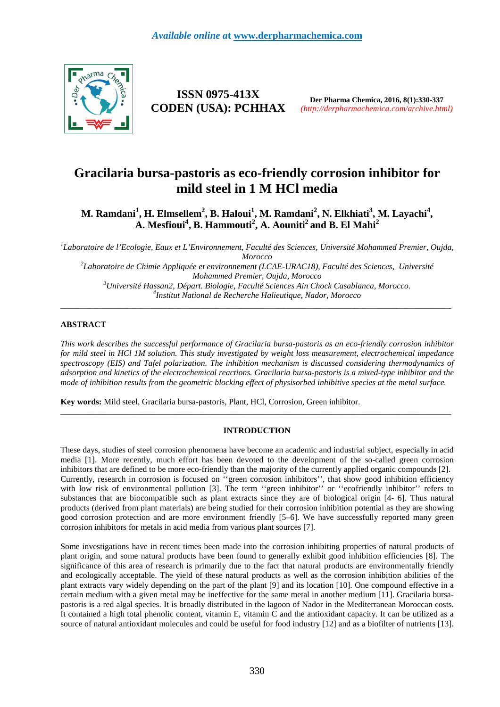

**ISSN 0975-413X CODEN (USA): PCHHAX**

**Der Pharma Chemica, 2016, 8(1):330-337** *(http://derpharmachemica.com/archive.html)*

# **Gracilaria bursa-pastoris as eco-friendly corrosion inhibitor for mild steel in 1 M HCl media**

**M. Ramdani<sup>1</sup> , H. Elmsellem<sup>2</sup> , B. Haloui<sup>1</sup> , M. Ramdani<sup>2</sup> , N. Elkhiati<sup>3</sup> , M. Layachi<sup>4</sup> , A. Mesfioui<sup>4</sup> , B. Hammouti<sup>2</sup> , A. Aouniti<sup>2</sup>and B. El Mahi<sup>2</sup>**

<sup>1</sup>Laboratoire de l'Ecologie, Eaux et L'Environnement, Faculté des Sciences, Université Mohammed Premier, Oujda, *Morocco* 

 *Laboratoire de Chimie Appliquée et environnement (LCAE-URAC18), Faculté des Sciences, Université Mohammed Premier, Oujda, Morocco Université Hassan2, Départ. Biologie, Faculté Sciences Ain Chock Casablanca, Morocco. Institut National de Recherche Halieutique, Nador, Morocco* 

\_\_\_\_\_\_\_\_\_\_\_\_\_\_\_\_\_\_\_\_\_\_\_\_\_\_\_\_\_\_\_\_\_\_\_\_\_\_\_\_\_\_\_\_\_\_\_\_\_\_\_\_\_\_\_\_\_\_\_\_\_\_\_\_\_\_\_\_\_\_\_\_\_\_\_\_\_\_\_\_\_\_\_\_\_\_\_\_\_\_\_\_\_

# **ABSTRACT**

*This work describes the successful performance of Gracilaria bursa-pastoris as an eco-friendly corrosion inhibitor for mild steel in HCl 1M solution. This study investigated by weight loss measurement, electrochemical impedance spectroscopy (EIS) and Tafel polarization. The inhibition mechanism is discussed considering thermodynamics of adsorption and kinetics of the electrochemical reactions. Gracilaria bursa-pastoris is a mixed-type inhibitor and the mode of inhibition results from the geometric blocking effect of physisorbed inhibitive species at the metal surface.* 

**Key words:** Mild steel, Gracilaria bursa-pastoris, Plant, HCl, Corrosion, Green inhibitor.

# **INTRODUCTION**

 $\overline{a}$  , and the contribution of the contribution of the contribution of the contribution of the contribution of the contribution of the contribution of the contribution of the contribution of the contribution of the co

These days, studies of steel corrosion phenomena have become an academic and industrial subject, especially in acid media [1]. More recently, much effort has been devoted to the development of the so-called green corrosion inhibitors that are defined to be more eco-friendly than the majority of the currently applied organic compounds [2]. Currently, research in corrosion is focused on ''green corrosion inhibitors'', that show good inhibition efficiency with low risk of environmental pollution [3]. The term "green inhibitor" or "ecofriendly inhibitor" refers to substances that are biocompatible such as plant extracts since they are of biological origin [4- 6]. Thus natural products (derived from plant materials) are being studied for their corrosion inhibition potential as they are showing good corrosion protection and are more environment friendly [5–6]. We have successfully reported many green corrosion inhibitors for metals in acid media from various plant sources [7].

Some investigations have in recent times been made into the corrosion inhibiting properties of natural products of plant origin, and some natural products have been found to generally exhibit good inhibition efficiencies [8]. The significance of this area of research is primarily due to the fact that natural products are environmentally friendly and ecologically acceptable. The yield of these natural products as well as the corrosion inhibition abilities of the plant extracts vary widely depending on the part of the plant [9] and its location [10]. One compound effective in a certain medium with a given metal may be ineffective for the same metal in another medium [11]. Gracilaria bursapastoris is a red algal species. It is broadly distributed in the lagoon of Nador in the Mediterranean Moroccan costs. It contained a high total phenolic content, vitamin E, vitamin C and the antioxidant capacity. It can be utilized as a source of natural antioxidant molecules and could be useful for food industry [12] and as a biofilter of nutrients [13].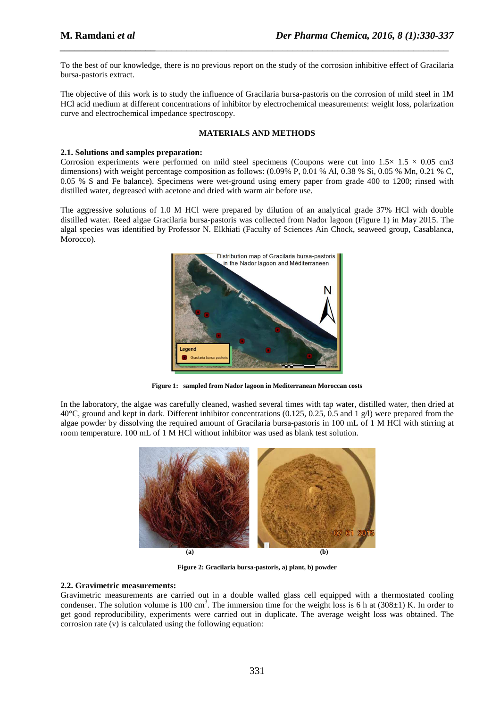To the best of our knowledge, there is no previous report on the study of the corrosion inhibitive effect of Gracilaria bursa-pastoris extract.

*\_\_\_\_\_\_\_\_\_\_\_\_\_\_\_\_\_\_\_\_\_\_\_\_\_\_\_\_\_\_\_\_\_\_\_\_\_\_\_\_\_\_\_\_\_\_\_\_\_\_\_\_\_\_\_\_\_\_\_\_\_\_\_\_\_\_\_\_\_\_\_\_\_\_\_\_\_*

The objective of this work is to study the influence of Gracilaria bursa-pastoris on the corrosion of mild steel in 1M HCl acid medium at different concentrations of inhibitor by electrochemical measurements: weight loss, polarization curve and electrochemical impedance spectroscopy.

# **MATERIALS AND METHODS**

# **2.1. Solutions and samples preparation:**

Corrosion experiments were performed on mild steel specimens (Coupons were cut into  $1.5 \times 1.5 \times 0.05$  cm3 dimensions) with weight percentage composition as follows:  $(0.09\% \text{ P}, 0.01 \% \text{ Al}, 0.38 \% \text{ Si}, 0.05 \% \text{ Mn}, 0.21 \% \text{ C},$ 0.05 % S and Fe balance). Specimens were wet-ground using emery paper from grade 400 to 1200; rinsed with distilled water, degreased with acetone and dried with warm air before use.

The aggressive solutions of 1.0 M HCl were prepared by dilution of an analytical grade 37% HCl with double distilled water. Reed algae Gracilaria bursa-pastoris was collected from Nador lagoon (Figure 1) in May 2015. The algal species was identified by Professor N. Elkhiati (Faculty of Sciences Ain Chock, seaweed group, Casablanca, Morocco).



**Figure 1: sampled from Nador lagoon in Mediterranean Moroccan costs** 

In the laboratory, the algae was carefully cleaned, washed several times with tap water, distilled water, then dried at 40°C, ground and kept in dark. Different inhibitor concentrations (0.125, 0.25, 0.5 and 1  $g$ /l) were prepared from the algae powder by dissolving the required amount of Gracilaria bursa-pastoris in 100 mL of 1 M HCl with stirring at room temperature. 100 mL of 1 M HCl without inhibitor was used as blank test solution.



**Figure 2: Gracilaria bursa-pastoris, a) plant, b) powder** 

# **2.2. Gravimetric measurements:**

Gravimetric measurements are carried out in a double walled glass cell equipped with a thermostated cooling condenser. The solution volume is 100 cm<sup>3</sup>. The immersion time for the weight loss is 6 h at  $(308\pm1)$  K. In order to get good reproducibility, experiments were carried out in duplicate. The average weight loss was obtained. The corrosion rate (v) is calculated using the following equation: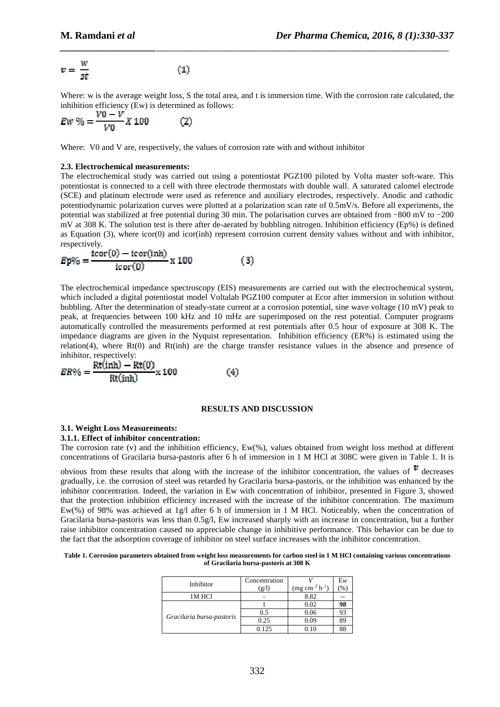$$
v = \frac{w}{st} \tag{1}
$$

Where: w is the average weight loss, S the total area, and t is immersion time. With the corrosion rate calculated, the inhibition efficiency (Ew) is determined as follows:

*\_\_\_\_\_\_\_\_\_\_\_\_\_\_\_\_\_\_\_\_\_\_\_\_\_\_\_\_\_\_\_\_\_\_\_\_\_\_\_\_\_\_\_\_\_\_\_\_\_\_\_\_\_\_\_\_\_\_\_\_\_\_\_\_\_\_\_\_\_\_\_\_\_\_\_\_\_*

$$
Ew\% = \frac{v0 - v}{V0}X100\tag{2}
$$

Where: V0 and V are, respectively, the values of corrosion rate with and without inhibitor

#### **2.3. Electrochemical measurements:**

The electrochemical study was carried out using a potentiostat PGZ100 piloted by Volta master soft-ware. This potentiostat is connected to a cell with three electrode thermostats with double wall. A saturated calomel electrode (SCE) and platinum electrode were used as reference and auxiliary electrodes, respectively. Anodic and cathodic potentiodynamic polarization curves were plotted at a polarization scan rate of 0.5mV/s. Before all experiments, the potential was stabilized at free potential during 30 min. The polarisation curves are obtained from −800 mV to −200 mV at 308 K. The solution test is there after de-aerated by bubbling nitrogen. Inhibition efficiency (Ep%) is defined as Equation (3), where icor(0) and icor(inh) represent corrosion current density values without and with inhibitor, respectively.

$$
Ep\% = \frac{\text{icor}(0) - \text{icor}(\text{inh})}{\text{icor}(0)} \times 100\tag{3}
$$

The electrochemical impedance spectroscopy (EIS) measurements are carried out with the electrochemical system, which included a digital potentiostat model Voltalab PGZ100 computer at Ecor after immersion in solution without bubbling. After the determination of steady-state current at a corrosion potential, sine wave voltage (10 mV) peak to peak, at frequencies between 100 kHz and 10 mHz are superimposed on the rest potential. Computer programs automatically controlled the measurements performed at rest potentials after 0.5 hour of exposure at 308 K. The impedance diagrams are given in the Nyquist representation. Inhibition efficiency (ER%) is estimated using the relation(4), where Rt(0) and Rt(inh) are the charge transfer resistance values in the absence and presence of inhibitor, respectively:

$$
ER\% = \frac{Rt(inh) - Rt(0)}{Rt(inh)} \times 100
$$
 (4)

# **RESULTS AND DISCUSSION**

#### **3.1. Weight Loss Measurements:**

#### **3.1.1. Effect of inhibitor concentration:**

The corrosion rate (v) and the inhibition efficiency, Ew(%), values obtained from weight loss method at different concentrations of Gracilaria bursa-pastoris after 6 h of immersion in 1 M HCl at 308C were given in Table 1. It is

obvious from these results that along with the increase of the inhibitor concentration, the values of  $\mathbf{v}$  decreases gradually, i.e. the corrosion of steel was retarded by Gracilaria bursa-pastoris, or the inhibition was enhanced by the inhibitor concentration. Indeed, the variation in Ew with concentration of inhibitor, presented in Figure 3, showed that the protection inhibition efficiency increased with the increase of the inhibitor concentration. The maximum Ew(%) of 98% was achieved at 1g/l after 6 h of immersion in 1 M HCl. Noticeably, when the concentration of Gracilaria bursa-pastoris was less than 0.5g/l, Ew increased sharply with an increase in concentration, but a further raise inhibitor concentration caused no appreciable change in inhibitive performance. This behavior can be due to the fact that the adsorption coverage of inhibitor on steel surface increases with the inhibitor concentration.

| Table 1. Corrosion parameters obtained from weight loss measurements for carbon steel in 1 M HCl containing various concentrations |
|------------------------------------------------------------------------------------------------------------------------------------|
| of Gracilaria bursa-pastoris at 308 K                                                                                              |

| Inhibitor                 | Concentration |                       | $E_{W}$ |
|---------------------------|---------------|-----------------------|---------|
|                           | (g/I)         | $(mg cm^{-2} h^{-1})$ |         |
| 1M HCl                    |               | 8.82                  |         |
| Gracilaria bursa-pastoris |               | 0.02                  | 98      |
|                           | 0.5           | 0.06                  |         |
|                           | 0.25          | 0.09                  | 89      |
|                           | 0.125         |                       |         |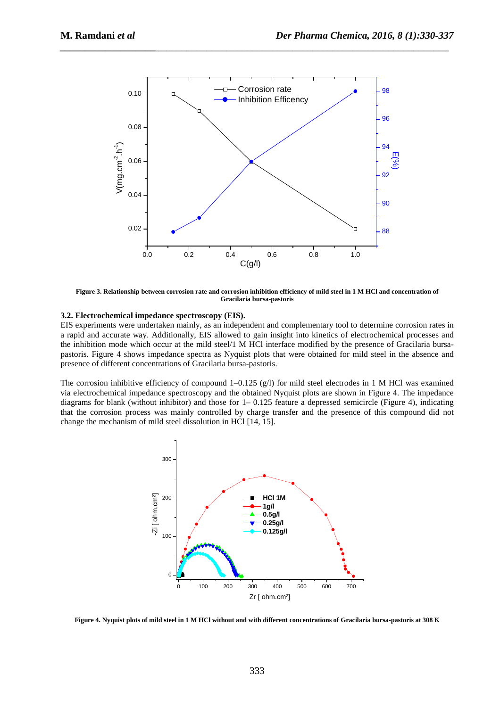

*\_\_\_\_\_\_\_\_\_\_\_\_\_\_\_\_\_\_\_\_\_\_\_\_\_\_\_\_\_\_\_\_\_\_\_\_\_\_\_\_\_\_\_\_\_\_\_\_\_\_\_\_\_\_\_\_\_\_\_\_\_\_\_\_\_\_\_\_\_\_\_\_\_\_\_\_\_*

**Figure 3. Relationship between corrosion rate and corrosion inhibition efficiency of mild steel in 1 M HCl and concentration of Gracilaria bursa-pastoris** 

#### **3.2. Electrochemical impedance spectroscopy (EIS).**

EIS experiments were undertaken mainly, as an independent and complementary tool to determine corrosion rates in a rapid and accurate way. Additionally, EIS allowed to gain insight into kinetics of electrochemical processes and the inhibition mode which occur at the mild steel/1 M HCl interface modified by the presence of Gracilaria bursapastoris. Figure 4 shows impedance spectra as Nyquist plots that were obtained for mild steel in the absence and presence of different concentrations of Gracilaria bursa-pastoris.

The corrosion inhibitive efficiency of compound  $1-0.125$  (g/l) for mild steel electrodes in 1 M HCl was examined via electrochemical impedance spectroscopy and the obtained Nyquist plots are shown in Figure 4. The impedance diagrams for blank (without inhibitor) and those for  $1-0.125$  feature a depressed semicircle (Figure 4), indicating that the corrosion process was mainly controlled by charge transfer and the presence of this compound did not change the mechanism of mild steel dissolution in HCl [14, 15].



**Figure 4. Nyquist plots of mild steel in 1 M HCl without and with different concentrations of Gracilaria bursa-pastoris at 308 K**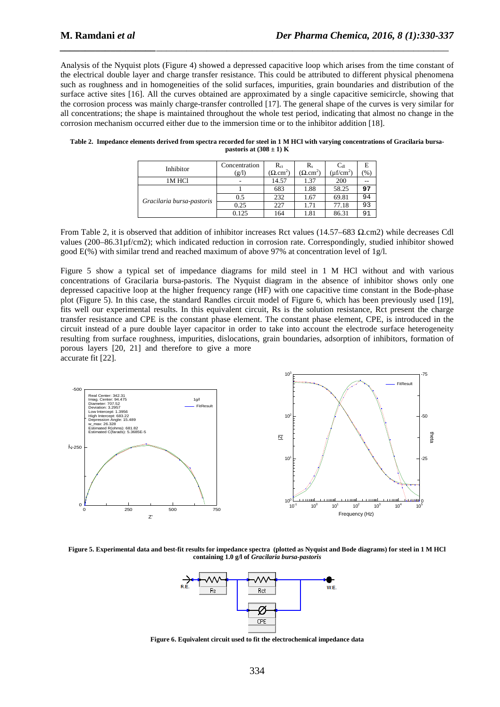Analysis of the Nyquist plots (Figure 4) showed a depressed capacitive loop which arises from the time constant of the electrical double layer and charge transfer resistance. This could be attributed to different physical phenomena such as roughness and in homogeneities of the solid surfaces, impurities, grain boundaries and distribution of the surface active sites [16]. All the curves obtained are approximated by a single capacitive semicircle, showing that the corrosion process was mainly charge-transfer controlled [17]. The general shape of the curves is very similar for all concentrations; the shape is maintained throughout the whole test period, indicating that almost no change in the corrosion mechanism occurred either due to the immersion time or to the inhibitor addition [18].

*\_\_\_\_\_\_\_\_\_\_\_\_\_\_\_\_\_\_\_\_\_\_\_\_\_\_\_\_\_\_\_\_\_\_\_\_\_\_\_\_\_\_\_\_\_\_\_\_\_\_\_\_\_\_\_\_\_\_\_\_\_\_\_\_\_\_\_\_\_\_\_\_\_\_\_\_\_*

| Inhibitor                 | Concentration<br>(g/l) | $R_{ct}$<br>$(\Omega.cm^2)$ | R,<br>$(\Omega.cm^2)$ | $C_{dl}$<br>$(\mu f/cm^2)$ | Е<br>(%) |
|---------------------------|------------------------|-----------------------------|-----------------------|----------------------------|----------|
| 1M HCl                    |                        | 14.57                       | 1.37                  | 200                        | $- -$    |
| Gracilaria bursa-pastoris |                        | 683                         | 1.88                  | 58.25                      | 97       |
|                           | 0.5                    | 232                         | 1.67                  | 69.81                      | 94       |
|                           | 0.25                   | 227                         | 1.71                  | 77.18                      | 93       |
|                           | 0.125                  | 164                         | 1.81                  | 86.31                      | 91       |

**Table 2. Impedance elements derived from spectra recorded for steel in 1 M HCl with varying concentrations of Gracilaria bursapastoris at**  $(308 \pm 1)$  **K** 

From Table 2, it is observed that addition of inhibitor increases Rct values (14.57–683  $\Omega$ .cm2) while decreases Cdl values (200–86.31µf/cm2); which indicated reduction in corrosion rate. Correspondingly, studied inhibitor showed good E(%) with similar trend and reached maximum of above 97% at concentration level of 1g/l.

Figure 5 show a typical set of impedance diagrams for mild steel in 1 M HCl without and with various concentrations of Gracilaria bursa-pastoris. The Nyquist diagram in the absence of inhibitor shows only one depressed capacitive loop at the higher frequency range (HF) with one capacitive time constant in the Bode-phase plot (Figure 5). In this case, the standard Randles circuit model of Figure 6, which has been previously used [19], fits well our experimental results. In this equivalent circuit, Rs is the solution resistance, Rct present the charge transfer resistance and CPE is the constant phase element. The constant phase element, CPE, is introduced in the circuit instead of a pure double layer capacitor in order to take into account the electrode surface heterogeneity resulting from surface roughness, impurities, dislocations, grain boundaries, adsorption of inhibitors, formation of porous layers [20, 21] and therefore to give a more accurate fit [22].



**Figure 5. Experimental data and best-fit results for impedance spectra (plotted as Nyquist and Bode diagrams) for steel in 1 M HCl containing 1.0 g/l of** *Gracilaria bursa-pastoris*



**Figure 6. Equivalent circuit used to fit the electrochemical impedance data**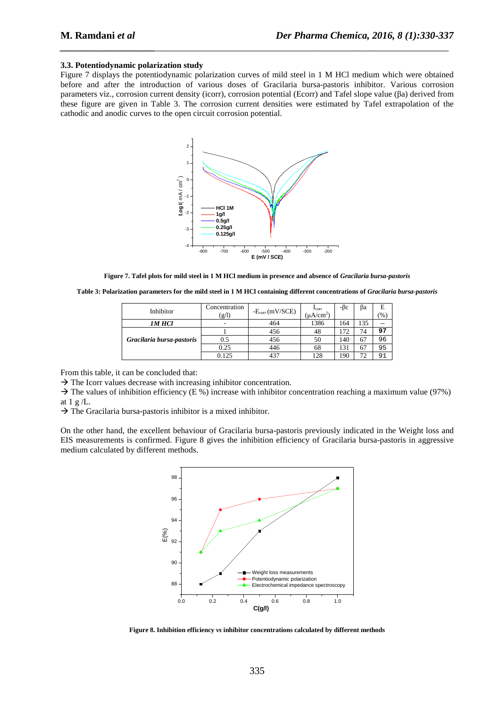#### **3.3. Potentiodynamic polarization study**

Figure 7 displays the potentiodynamic polarization curves of mild steel in 1 M HCl medium which were obtained before and after the introduction of various doses of Gracilaria bursa-pastoris inhibitor. Various corrosion parameters viz., corrosion current density (icorr), corrosion potential (Ecorr) and Tafel slope value (βa) derived from these figure are given in Table 3. The corrosion current densities were estimated by Tafel extrapolation of the cathodic and anodic curves to the open circuit corrosion potential.

*\_\_\_\_\_\_\_\_\_\_\_\_\_\_\_\_\_\_\_\_\_\_\_\_\_\_\_\_\_\_\_\_\_\_\_\_\_\_\_\_\_\_\_\_\_\_\_\_\_\_\_\_\_\_\_\_\_\_\_\_\_\_\_\_\_\_\_\_\_\_\_\_\_\_\_\_\_*



**Figure 7. Tafel plots for mild steel in 1 M HCl medium in presence and absence of** *Gracilaria bursa-pastoris* 

**Table 3: Polarization parameters for the mild steel in 1 M HCl containing different concentrations of** *Gracilaria bursa-pastoris* 

| Inhibitor                 | Concentration<br>(g/l)   | $-E_{corr}(mV/SCE)$ | $\frac{I_{corr}}{(\mu A/cm^2)}$ | -ßc | ßа  | E<br>$\frac{9}{6}$ |
|---------------------------|--------------------------|---------------------|---------------------------------|-----|-----|--------------------|
| IM HCl                    | $\overline{\phantom{a}}$ | 464                 | 1386                            | 164 | 135 | --                 |
| Gracilaria bursa-pastoris |                          | 456                 | 48                              | 172 | 74  | 97                 |
|                           | 0.5                      | 456                 | 50                              | 140 | 67  | 96                 |
|                           | 0.25                     | 446                 | 68                              | 131 | 67  | 95                 |
|                           | 0.125                    | 437                 | 128                             | 90  | 72  | 91                 |

From this table, it can be concluded that:

 $\rightarrow$  The Icorr values decrease with increasing inhibitor concentration.

 $\rightarrow$  The values of inhibition efficiency (E %) increase with inhibitor concentration reaching a maximum value (97%) at  $1 g/L$ .

 $\rightarrow$  The Gracilaria bursa-pastoris inhibitor is a mixed inhibitor.

On the other hand, the excellent behaviour of Gracilaria bursa-pastoris previously indicated in the Weight loss and EIS measurements is confirmed. Figure 8 gives the inhibition efficiency of Gracilaria bursa-pastoris in aggressive medium calculated by different methods.

![](_page_5_Figure_13.jpeg)

**Figure 8. Inhibition efficiency** *vs* **inhibitor concentrations calculated by different methods**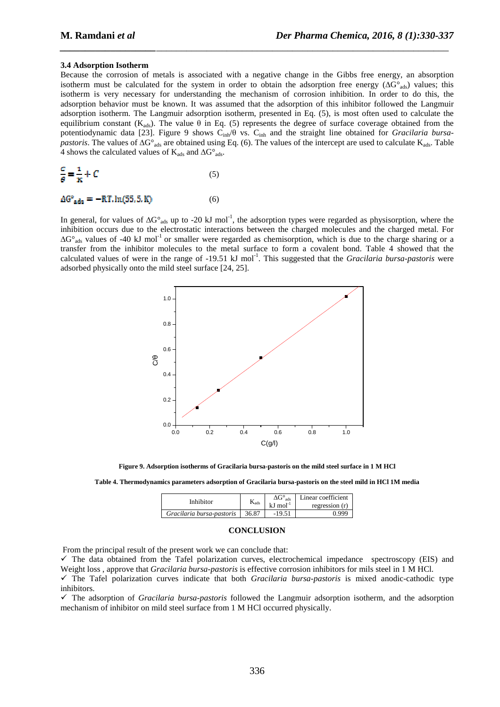#### **3.4 Adsorption Isotherm**

Because the corrosion of metals is associated with a negative change in the Gibbs free energy, an absorption isotherm must be calculated for the system in order to obtain the adsorption free energy ( $\Delta G^{\circ}_{\text{ads}}$ ) values; this isotherm is very necessary for understanding the mechanism of corrosion inhibition. In order to do this, the adsorption behavior must be known. It was assumed that the adsorption of this inhibitor followed the Langmuir adsorption isotherm. The Langmuir adsorption isotherm, presented in Eq. (5), is most often used to calculate the equilibrium constant (K<sub>ads</sub>). The value  $\theta$  in Eq. (5) represents the degree of surface coverage obtained from the potentiodynamic data [23]. Figure 9 shows Cinh/θ vs. Cinh and the straight line obtained for *Gracilaria bursapastoris*. The values of  $\Delta G^{\circ}{}_{ads}$  are obtained using Eq. (6). The values of the intercept are used to calculate K<sub>ads</sub>. Table 4 shows the calculated values of  $K_{ads}$  and  $\Delta G^{\circ}{}_{ads}$ .

*\_\_\_\_\_\_\_\_\_\_\_\_\_\_\_\_\_\_\_\_\_\_\_\_\_\_\_\_\_\_\_\_\_\_\_\_\_\_\_\_\_\_\_\_\_\_\_\_\_\_\_\_\_\_\_\_\_\_\_\_\_\_\_\_\_\_\_\_\_\_\_\_\_\_\_\_\_*

$$
\frac{c}{\theta} = \frac{1}{K} + C \tag{5}
$$

$$
\Delta G^{\circ}_{\text{ads}} = -RT \cdot \ln(55, 5, K) \tag{6}
$$

In general, for values of  $\Delta G^{\circ}_{ads}$  up to -20 kJ mol<sup>-1</sup>, the adsorption types were regarded as physisorption, where the inhibition occurs due to the electrostatic interactions between the charged molecules and the charged metal. For  $\Delta G^{\circ}$ <sub>ads</sub> values of -40 kJ mol<sup>-1</sup> or smaller were regarded as chemisorption, which is due to the charge sharing or a transfer from the inhibitor molecules to the metal surface to form a covalent bond. Table 4 showed that the calculated values of were in the range of -19.51 kJ mol<sup>-1</sup>. This suggested that the *Gracilaria bursa-pastoris* were adsorbed physically onto the mild steel surface [24, 25].

![](_page_6_Figure_7.jpeg)

**Figure 9. Adsorption isotherms of Gracilaria bursa-pastoris on the mild steel surface in 1 M HCl** 

**Table 4. Thermodynamics parameters adsorption of Gracilaria bursa-pastoris on the steel mild in HCl 1M media** 

| Inhihitor                 | <b>Nads</b> | $\Delta G^{\circ}$ .<br>ads<br>$kJ$ mol <sup>-1</sup> | Linear coefficient<br>regression $(r)$ |
|---------------------------|-------------|-------------------------------------------------------|----------------------------------------|
| Gracilaria bursa-pastoris | 36.87       | -19.51                                                |                                        |

#### **CONCLUSION**

From the principal result of the present work we can conclude that:

- The data obtained from the Tafel polarization curves, electrochemical impedance spectroscopy (EIS) and Weight loss , approve that *Gracilaria bursa-pastoris* is effective corrosion inhibitors for mils steel in 1 M HCl.

- The Tafel polarization curves indicate that both *Gracilaria bursa-pastoris* is mixed anodic-cathodic type inhibitors.

- The adsorption of *Gracilaria bursa-pastoris* followed the Langmuir adsorption isotherm, and the adsorption mechanism of inhibitor on mild steel surface from 1 M HCl occurred physically.